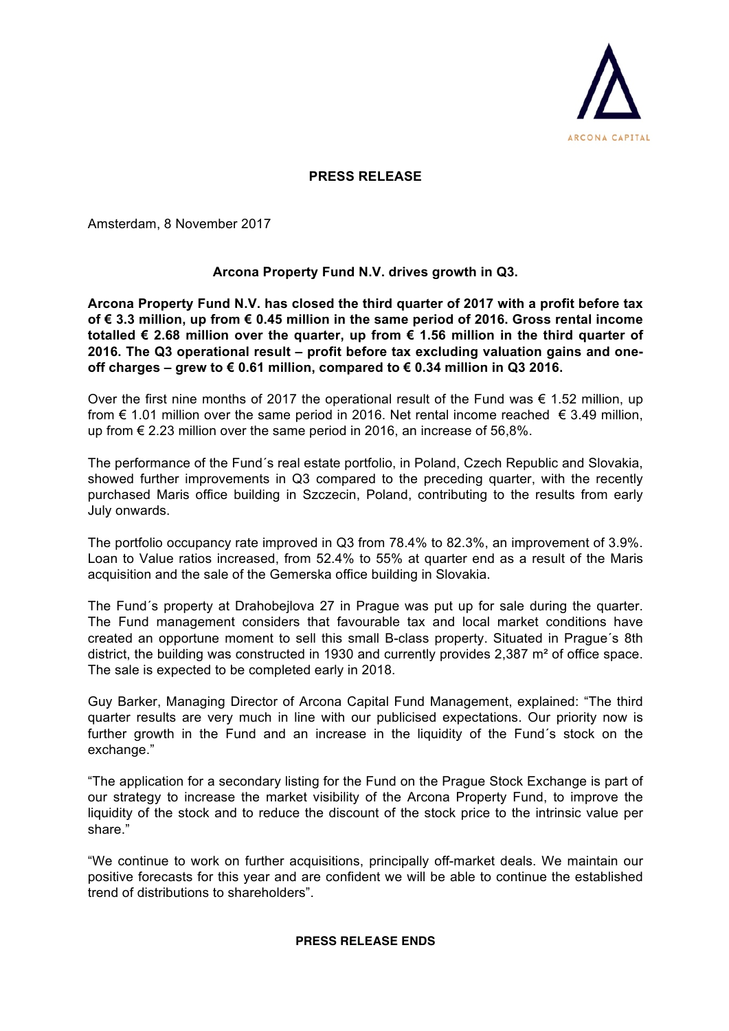

## **PRESS RELEASE**

Amsterdam, 8 November 2017

## **Arcona Property Fund N.V. drives growth in Q3.**

**Arcona Property Fund N.V. has closed the third quarter of 2017 with a profit before tax of € 3.3 million, up from € 0.45 million in the same period of 2016. Gross rental income totalled € 2.68 million over the quarter, up from € 1.56 million in the third quarter of 2016. The Q3 operational result – profit before tax excluding valuation gains and oneoff charges – grew to € 0.61 million, compared to € 0.34 million in Q3 2016.**

Over the first nine months of 2017 the operational result of the Fund was  $\epsilon$  1.52 million, up from  $\epsilon$  1.01 million over the same period in 2016. Net rental income reached  $\epsilon$  3.49 million, up from € 2.23 million over the same period in 2016, an increase of 56,8%.

The performance of the Fund´s real estate portfolio, in Poland, Czech Republic and Slovakia, showed further improvements in Q3 compared to the preceding quarter, with the recently purchased Maris office building in Szczecin, Poland, contributing to the results from early July onwards.

The portfolio occupancy rate improved in Q3 from 78.4% to 82.3%, an improvement of 3.9%. Loan to Value ratios increased, from 52.4% to 55% at quarter end as a result of the Maris acquisition and the sale of the Gemerska office building in Slovakia.

The Fund´s property at Drahobejlova 27 in Prague was put up for sale during the quarter. The Fund management considers that favourable tax and local market conditions have created an opportune moment to sell this small B-class property. Situated in Prague´s 8th district, the building was constructed in 1930 and currently provides 2,387 m² of office space. The sale is expected to be completed early in 2018.

Guy Barker, Managing Director of Arcona Capital Fund Management, explained: "The third quarter results are very much in line with our publicised expectations. Our priority now is further growth in the Fund and an increase in the liquidity of the Fund´s stock on the exchange."

"The application for a secondary listing for the Fund on the Prague Stock Exchange is part of our strategy to increase the market visibility of the Arcona Property Fund, to improve the liquidity of the stock and to reduce the discount of the stock price to the intrinsic value per share."

"We continue to work on further acquisitions, principally off-market deals. We maintain our positive forecasts for this year and are confident we will be able to continue the established trend of distributions to shareholders".

## **PRESS RELEASE ENDS**